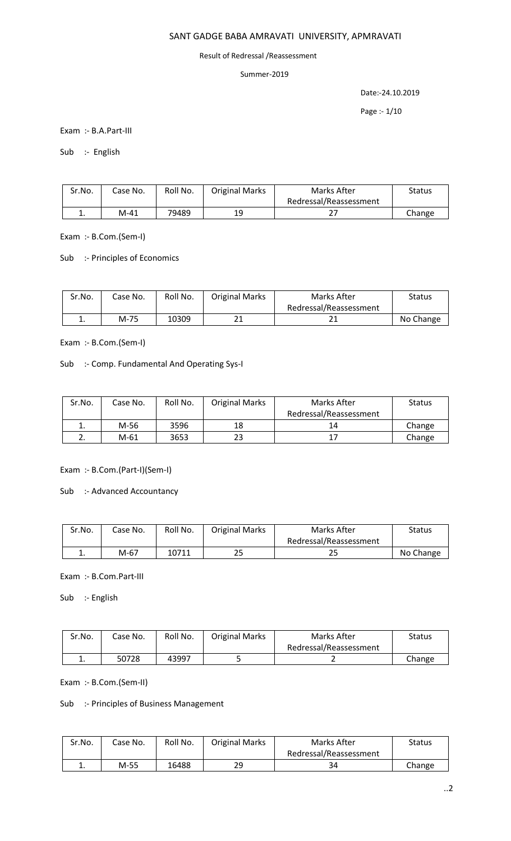### SANT GADGE BABA AMRAVATI UNIVERSITY, APMRAVATI

#### Result of Redressal /Reassessment

### Summer-2019

Date:-24.10.2019

Page :- 1/10

Exam :- B.A.Part-III

Sub :- English

| Sr.No. | Case No. | Roll No. | <b>Original Marks</b> | Marks After            | Status |
|--------|----------|----------|-----------------------|------------------------|--------|
|        |          |          |                       | Redressal/Reassessment |        |
| ᆠ.     | M-41     | 79489    | 19                    | ، ے                    | Change |

Exam :- B.Com.(Sem-I)

Sub :- Principles of Economics

| Sr.No. | Case No. | Roll No. | <b>Original Marks</b> | Marks After            | Status    |
|--------|----------|----------|-----------------------|------------------------|-----------|
|        |          |          |                       | Redressal/Reassessment |           |
| . .    | M-75     | 10309    |                       |                        | No Change |

Exam :- B.Com.(Sem-I)

Sub :- Comp. Fundamental And Operating Sys-I

| Sr.No. | Case No. | Roll No. | <b>Original Marks</b> | Marks After            | <b>Status</b> |
|--------|----------|----------|-----------------------|------------------------|---------------|
|        |          |          |                       | Redressal/Reassessment |               |
| ∸.     | M-56     | 3596     | 18                    | 14                     | Change        |
|        | M-61     | 3653     | 23                    | $1^-$                  | Change        |

Exam :- B.Com.(Part-I)(Sem-I)

Sub :- Advanced Accountancy

| Sr.No. | Case No. | Roll No. | <b>Original Marks</b> | Marks After            | <b>Status</b> |
|--------|----------|----------|-----------------------|------------------------|---------------|
|        |          |          |                       | Redressal/Reassessment |               |
| ∸.     | M-67     | 10711    | 25                    | دے                     | No Change     |

Exam :- B.Com.Part-III

Sub :- English

| Sr.No.   | Case No. | Roll No. | <b>Original Marks</b> | Marks After            | Status |
|----------|----------|----------|-----------------------|------------------------|--------|
|          |          |          |                       | Redressal/Reassessment |        |
| <b>.</b> | 50728    | 43997    |                       |                        | Change |

Exam :- B.Com.(Sem-II)

Sub :- Principles of Business Management

| Sr.No. | Case No. | Roll No. | <b>Original Marks</b> | Marks After            | Status |
|--------|----------|----------|-----------------------|------------------------|--------|
|        |          |          |                       | Redressal/Reassessment |        |
| . .    | M-55     | 16488    | 29                    | 34                     | Change |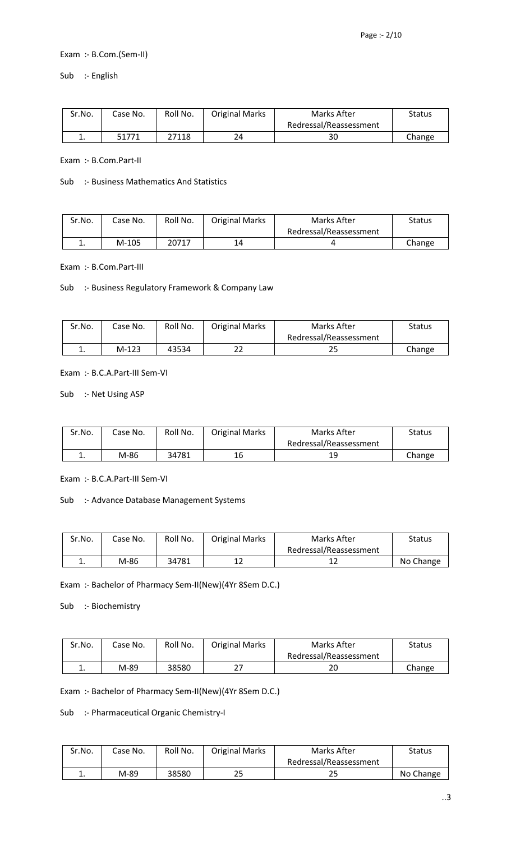# Exam :- B.Com.(Sem-II)

Sub :- English

| Sr.No.   | Case No. | Roll No. | <b>Original Marks</b> | Marks After            | Status |
|----------|----------|----------|-----------------------|------------------------|--------|
|          |          |          |                       | Redressal/Reassessment |        |
| <b>.</b> | 51771    | 27118    | 24                    | 30                     | Change |

Exam :- B.Com.Part-II

#### Sub :- Business Mathematics And Statistics

| Sr.No. | Case No. | Roll No. | <b>Original Marks</b> | Marks After            | Status |
|--------|----------|----------|-----------------------|------------------------|--------|
|        |          |          |                       | Redressal/Reassessment |        |
| . .    | M-105    | 20717    | 14                    |                        | Change |

Exam :- B.Com.Part-III

Sub :- Business Regulatory Framework & Company Law

| Sr.No. | Case No. | Roll No. | <b>Original Marks</b> | Marks After            | Status |
|--------|----------|----------|-----------------------|------------------------|--------|
|        |          |          |                       | Redressal/Reassessment |        |
| ∸.     | $M-123$  | 43534    | ᅩ                     | دے                     | Change |

Exam :- B.C.A.Part-III Sem-VI

Sub :- Net Using ASP

| Sr.No.   | Case No. | Roll No. | <b>Original Marks</b> | Marks After            | Status |
|----------|----------|----------|-----------------------|------------------------|--------|
|          |          |          |                       | Redressal/Reassessment |        |
| <b>.</b> | M-86     | 34781    | 16                    | 19                     | Change |

Exam :- B.C.A.Part-III Sem-VI

### Sub :- Advance Database Management Systems

| Sr.No. | Case No. | Roll No. | <b>Original Marks</b> | Marks After            | Status    |
|--------|----------|----------|-----------------------|------------------------|-----------|
|        |          |          |                       | Redressal/Reassessment |           |
| . .    | M-86     | 34781    | 1 า                   | ∸                      | No Change |

Exam :- Bachelor of Pharmacy Sem-II(New)(4Yr 8Sem D.C.)

Sub :- Biochemistry

| Sr.No. | Case No. | Roll No. | <b>Original Marks</b> | Marks After            | Status |
|--------|----------|----------|-----------------------|------------------------|--------|
|        |          |          |                       | Redressal/Reassessment |        |
| . .    | M-89     | 38580    | דר                    | 20                     | Change |

Exam :- Bachelor of Pharmacy Sem-II(New)(4Yr 8Sem D.C.)

Sub :- Pharmaceutical Organic Chemistry-I

| Sr.No. | Case No. | Roll No. | <b>Original Marks</b> | Marks After            | <b>Status</b> |
|--------|----------|----------|-----------------------|------------------------|---------------|
|        |          |          |                       | Redressal/Reassessment |               |
| ∸.     | M-89     | 38580    | 25                    | 25                     | No Change     |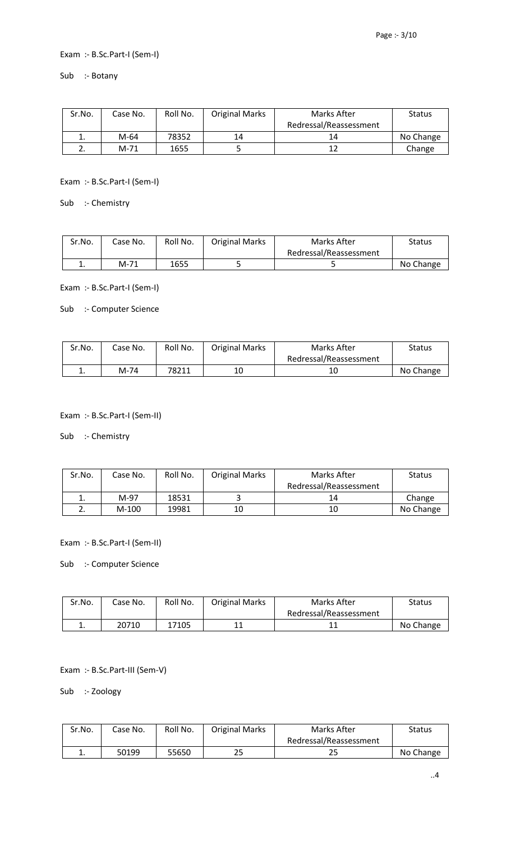### Exam :- B.Sc.Part-I (Sem-I)

Sub :- Botany

| Sr.No. | Case No. | Roll No. | <b>Original Marks</b> | Marks After            | <b>Status</b> |
|--------|----------|----------|-----------------------|------------------------|---------------|
|        |          |          |                       | Redressal/Reassessment |               |
| ∸.     | M-64     | 78352    | 14                    | 14                     | No Change     |
|        | M-71     | 1655     |                       | 12                     | Change        |

Exam :- B.Sc.Part-I (Sem-I)

Sub :- Chemistry

| Sr.No. | Case No. | Roll No. | <b>Original Marks</b> | Marks After            | Status    |
|--------|----------|----------|-----------------------|------------------------|-----------|
|        |          |          |                       | Redressal/Reassessment |           |
| . .    | M-71     | 1655     |                       |                        | No Change |

Exam :- B.Sc.Part-I (Sem-I)

Sub :- Computer Science

| Sr.No. | Case No. | Roll No. | <b>Original Marks</b> | Marks After            | Status    |
|--------|----------|----------|-----------------------|------------------------|-----------|
|        |          |          |                       | Redressal/Reassessment |           |
| ٠.     | M-74     | 78211    | 10                    |                        | No Change |

Exam :- B.Sc.Part-I (Sem-II)

Sub :- Chemistry

| Sr.No.   | Case No. | Roll No. | <b>Original Marks</b> | Marks After            | <b>Status</b> |
|----------|----------|----------|-----------------------|------------------------|---------------|
|          |          |          |                       | Redressal/Reassessment |               |
|          | M-97     | 18531    |                       | 14                     | Change        |
| <u>.</u> | $M-100$  | 19981    | 10                    | 10                     | No Change     |

Exam :- B.Sc.Part-I (Sem-II)

Sub :- Computer Science

| Sr.No. | Case No. | Roll No. | <b>Original Marks</b> | Marks After            | Status    |
|--------|----------|----------|-----------------------|------------------------|-----------|
|        |          |          |                       | Redressal/Reassessment |           |
| . .    | 20710    | 17105    |                       |                        | No Change |

Exam :- B.Sc.Part-III (Sem-V)

Sub :- Zoology

| Sr.No. | Case No. | Roll No. | <b>Original Marks</b> | Marks After            | <b>Status</b> |
|--------|----------|----------|-----------------------|------------------------|---------------|
|        |          |          |                       | Redressal/Reassessment |               |
| . .    | 50199    | 55650    | 25                    | っこ<br>23               | No Change     |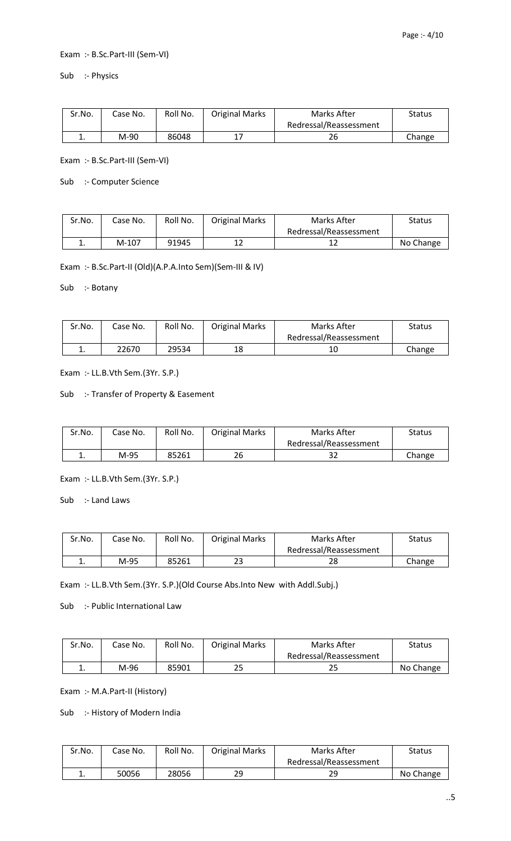### Exam :- B.Sc.Part-III (Sem-VI)

Sub :- Physics

| Sr.No. | Case No. | Roll No. | <b>Original Marks</b> | Marks After            | <b>Status</b> |
|--------|----------|----------|-----------------------|------------------------|---------------|
|        |          |          |                       | Redressal/Reassessment |               |
| ∸.     | M-90     | 86048    |                       | 26                     | Change        |

Exam :- B.Sc.Part-III (Sem-VI)

Sub :- Computer Science

| Sr.No. | Case No. | Roll No. | <b>Original Marks</b> | Marks After            | Status    |
|--------|----------|----------|-----------------------|------------------------|-----------|
|        |          |          |                       | Redressal/Reassessment |           |
| ∸.     | $M-107$  | 91945    | 12                    |                        | No Change |

Exam :- B.Sc.Part-II (Old)(A.P.A.Into Sem)(Sem-III & IV)

Sub :- Botany

| Sr.No. | Case No. | Roll No. | <b>Original Marks</b> | Marks After            | <b>Status</b> |
|--------|----------|----------|-----------------------|------------------------|---------------|
|        |          |          |                       | Redressal/Reassessment |               |
| . .    | 22670    | 29534    | 18                    |                        | Change        |

Exam :- LL.B.Vth Sem.(3Yr. S.P.)

Sub :- Transfer of Property & Easement

| Sr.No.   | Case No. | Roll No. | <b>Original Marks</b> | Marks After            | Status |
|----------|----------|----------|-----------------------|------------------------|--------|
|          |          |          |                       | Redressal/Reassessment |        |
| <b>.</b> | M-95     | 85261    | 26                    | 32                     | Change |

Exam :- LL.B.Vth Sem.(3Yr. S.P.)

Sub :- Land Laws

| Sr.No. | Case No. | Roll No. | <b>Original Marks</b> | Marks After            | Status |
|--------|----------|----------|-----------------------|------------------------|--------|
|        |          |          |                       | Redressal/Reassessment |        |
| ٠.     | M-95     | 85261    | 23                    | າເ                     | Change |

Exam :- LL.B.Vth Sem.(3Yr. S.P.)(Old Course Abs.Into New with Addl.Subj.)

Sub :- Public International Law

| Sr.No. | Case No. | Roll No. | <b>Original Marks</b> | Marks After            | Status    |
|--------|----------|----------|-----------------------|------------------------|-----------|
|        |          |          |                       | Redressal/Reassessment |           |
| ٠.     | M-96     | 85901    | 25                    | 25                     | No Change |

Exam :- M.A.Part-II (History)

Sub :- History of Modern India

| Sr.No. | Case No. | Roll No. | <b>Original Marks</b> | Marks After            | Status    |
|--------|----------|----------|-----------------------|------------------------|-----------|
|        |          |          |                       | Redressal/Reassessment |           |
| . .    | 50056    | 28056    | 29                    | 29                     | No Change |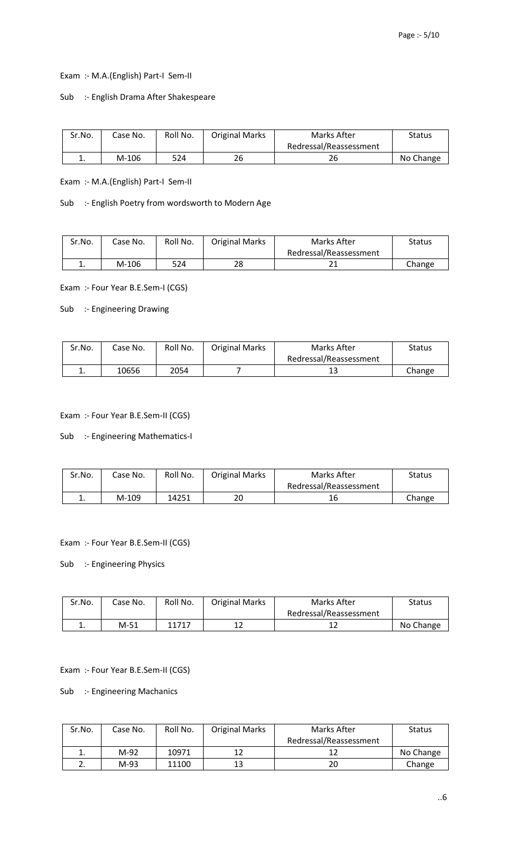Exam :- M.A.(English) Part-I Sem-II

Sub :- English Drama After Shakespeare

| Sr.No.   | Case No. | Roll No. | <b>Original Marks</b> | Marks After            | Status    |
|----------|----------|----------|-----------------------|------------------------|-----------|
|          |          |          |                       | Redressal/Reassessment |           |
| <b>.</b> | M-106    | 524      | 26                    | 26                     | No Change |

Exam :- M.A.(English) Part-I Sem-II

Sub :- English Poetry from wordsworth to Modern Age

| Sr.No. | Case No. | Roll No. | <b>Original Marks</b> | Marks After            | Status |
|--------|----------|----------|-----------------------|------------------------|--------|
|        |          |          |                       | Redressal/Reassessment |        |
| . .    | $M-106$  | 524      | 28                    |                        | Change |

Exam :- Four Year B.E.Sem-I (CGS)

Sub :- Engineering Drawing

| Sr.No. | Case No. | Roll No. | <b>Original Marks</b> | Marks After            | Status |
|--------|----------|----------|-----------------------|------------------------|--------|
|        |          |          |                       | Redressal/Reassessment |        |
| ∸.     | 10656    | 2054     |                       |                        | Change |

Exam :- Four Year B.E.Sem-II (CGS)

Sub :- Engineering Mathematics-I

| Sr.No.   | Case No. | Roll No. | <b>Original Marks</b> | Marks After            | Status |
|----------|----------|----------|-----------------------|------------------------|--------|
|          |          |          |                       | Redressal/Reassessment |        |
| <b>.</b> | M-109    | 14251    | 20                    |                        | Change |

Exam :- Four Year B.E.Sem-II (CGS)

Sub :- Engineering Physics

| Sr.No. | Case No. | Roll No. | <b>Original Marks</b> | Marks After            | <b>Status</b> |
|--------|----------|----------|-----------------------|------------------------|---------------|
|        |          |          |                       | Redressal/Reassessment |               |
| ٠.     | M-51     | 11717    |                       |                        | No Change     |

Exam :- Four Year B.E.Sem-II (CGS)

Sub :- Engineering Machanics

| Sr.No. | Case No. | Roll No. | <b>Original Marks</b> | Marks After            | <b>Status</b> |
|--------|----------|----------|-----------------------|------------------------|---------------|
|        |          |          |                       | Redressal/Reassessment |               |
|        | M-92     | 10971    | 12                    |                        | No Change     |
| ـ ــ   | M-93     | 11100    | 13                    | 20                     | Change        |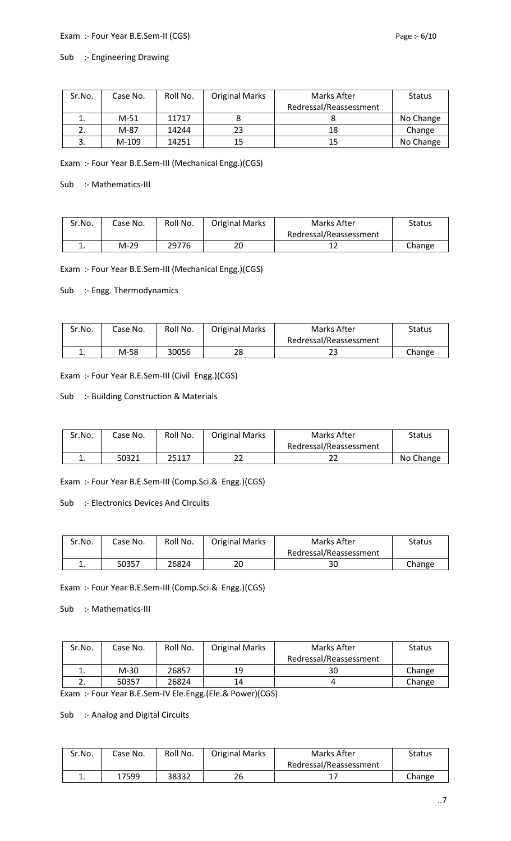### Exam :- Four Year B.E.Sem-II (CGS) exam :- Four Year B.E.Sem-II (CGS)

# Sub :- Engineering Drawing

| Sr.No. | Case No. | Roll No. | <b>Original Marks</b> | Marks After            | <b>Status</b> |
|--------|----------|----------|-----------------------|------------------------|---------------|
|        |          |          |                       | Redressal/Reassessment |               |
|        | $M-51$   | 11717    |                       |                        | No Change     |
|        | M-87     | 14244    | 23                    | 18                     | Change        |
|        | M-109    | 14251    | 15                    | 15                     | No Change     |

Exam :- Four Year B.E.Sem-III (Mechanical Engg.)(CGS)

Sub :- Mathematics-III

| Sr.No. | Case No. | Roll No. | <b>Original Marks</b> | Marks After            | <b>Status</b> |
|--------|----------|----------|-----------------------|------------------------|---------------|
|        |          |          |                       | Redressal/Reassessment |               |
| ∸.     | M-29     | 29776    | 20                    |                        | Change        |

Exam :- Four Year B.E.Sem-III (Mechanical Engg.)(CGS)

Sub :- Engg. Thermodynamics

| Sr.No. | Case No. | Roll No. | <b>Original Marks</b> | Marks After            | Status |
|--------|----------|----------|-----------------------|------------------------|--------|
|        |          |          |                       | Redressal/Reassessment |        |
| . .    | M-58     | 30056    | 28                    | دے                     | Change |

Exam :- Four Year B.E.Sem-III (Civil Engg.)(CGS)

#### Sub :- Building Construction & Materials

| Sr.No. | Case No. | Roll No. | <b>Original Marks</b> | Marks After            | <b>Status</b> |
|--------|----------|----------|-----------------------|------------------------|---------------|
|        |          |          |                       | Redressal/Reassessment |               |
|        | 50321    | 25117    | າາ<br>ے               | ے ے                    | No Change     |

Exam :- Four Year B.E.Sem-III (Comp.Sci.& Engg.)(CGS)

Sub :- Electronics Devices And Circuits

| Sr.No.   | Case No. | Roll No. | <b>Original Marks</b> | Marks After            | <b>Status</b> |
|----------|----------|----------|-----------------------|------------------------|---------------|
|          |          |          |                       | Redressal/Reassessment |               |
| <b>.</b> | 50357    | 26824    | 20                    | 30                     | Change        |

Exam :- Four Year B.E.Sem-III (Comp.Sci.& Engg.)(CGS)

Sub :- Mathematics-III

| Sr.No.   | Case No. | Roll No. | <b>Original Marks</b> | Marks After            | <b>Status</b> |
|----------|----------|----------|-----------------------|------------------------|---------------|
|          |          |          |                       | Redressal/Reassessment |               |
| ∸.       | M-30     | 26857    | 19                    | 3С                     | Change        |
| <u>.</u> | 50357    | 26824    | 14                    |                        | Change        |

Exam :- Four Year B.E.Sem-IV Ele.Engg.(Ele.& Power)(CGS)

Sub :- Analog and Digital Circuits

| Sr.No.   | Case No. | Roll No. | <b>Original Marks</b> | Marks After            | <b>Status</b> |
|----------|----------|----------|-----------------------|------------------------|---------------|
|          |          |          |                       | Redressal/Reassessment |               |
| <b>.</b> | 17599    | 38332    | 26                    |                        | Change        |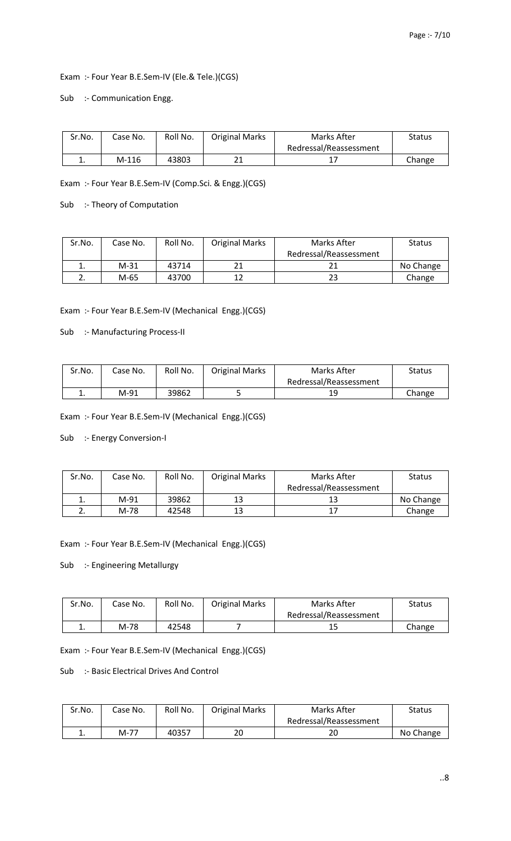Exam :- Four Year B.E.Sem-IV (Ele.& Tele.)(CGS)

Sub :- Communication Engg.

| Sr.No.   | Case No. | Roll No. | <b>Original Marks</b> | Marks After            | Status |
|----------|----------|----------|-----------------------|------------------------|--------|
|          |          |          |                       | Redressal/Reassessment |        |
| <b>.</b> | $M-116$  | 43803    | <b>01</b>             |                        | Change |

Exam :- Four Year B.E.Sem-IV (Comp.Sci. & Engg.)(CGS)

Sub :- Theory of Computation

| Sr.No. | Case No. | Roll No. | <b>Original Marks</b> | Marks After            | <b>Status</b> |
|--------|----------|----------|-----------------------|------------------------|---------------|
|        |          |          |                       | Redressal/Reassessment |               |
| ∸.     | M-31     | 43714    | 21                    |                        | No Change     |
| ـ.     | M-65     | 43700    | 12                    | 23                     | Change        |

Exam :- Four Year B.E.Sem-IV (Mechanical Engg.)(CGS)

Sub :- Manufacturing Process-II

| Sr.No.   | Case No. | Roll No. | <b>Original Marks</b> | Marks After            | Status |
|----------|----------|----------|-----------------------|------------------------|--------|
|          |          |          |                       | Redressal/Reassessment |        |
| <b>.</b> | M-91     | 39862    | ັ                     | 19                     | Change |

Exam :- Four Year B.E.Sem-IV (Mechanical Engg.)(CGS)

Sub :- Energy Conversion-I

| Sr.No. | Case No. | Roll No. | <b>Original Marks</b> | Marks After            | <b>Status</b> |
|--------|----------|----------|-----------------------|------------------------|---------------|
|        |          |          |                       | Redressal/Reassessment |               |
| ∸.     | M-91     | 39862    | 13                    | 13                     | No Change     |
| ـ.     | M-78     | 42548    | 13                    | 17                     | Change        |

Exam :- Four Year B.E.Sem-IV (Mechanical Engg.)(CGS)

Sub :- Engineering Metallurgy

| Sr.No. | Case No. | Roll No. | <b>Original Marks</b> | Marks After            | Status |
|--------|----------|----------|-----------------------|------------------------|--------|
|        |          |          |                       | Redressal/Reassessment |        |
| ∸.     | M-78     | 42548    |                       | ∸                      | Change |

Exam :- Four Year B.E.Sem-IV (Mechanical Engg.)(CGS)

Sub :- Basic Electrical Drives And Control

| Sr.No. | Case No. | Roll No. | <b>Original Marks</b> | Marks After            | Status    |
|--------|----------|----------|-----------------------|------------------------|-----------|
|        |          |          |                       | Redressal/Reassessment |           |
| . .    | M-77     | 40357    | 20                    | 20                     | No Change |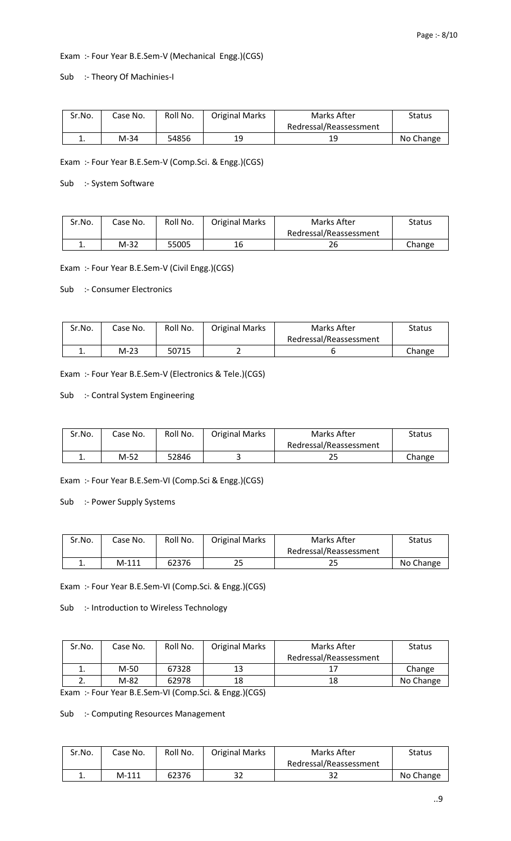#### Exam :- Four Year B.E.Sem-V (Mechanical Engg.)(CGS)

Sub :- Theory Of Machinies-I

| Sr.No. | Case No. | Roll No. | <b>Original Marks</b> | Marks After            | <b>Status</b> |
|--------|----------|----------|-----------------------|------------------------|---------------|
|        |          |          |                       | Redressal/Reassessment |               |
| ∸.     | M-34     | 54856    | 19                    | 19                     | No Change     |

Exam :- Four Year B.E.Sem-V (Comp.Sci. & Engg.)(CGS)

Sub :- System Software

| Sr.No. | Case No. | Roll No. | <b>Original Marks</b> | Marks After            | <b>Status</b> |
|--------|----------|----------|-----------------------|------------------------|---------------|
|        |          |          |                       | Redressal/Reassessment |               |
| . .    | M-32     | 55005    | 16                    | 26                     | Change        |

Exam :- Four Year B.E.Sem-V (Civil Engg.)(CGS)

Sub :- Consumer Electronics

| Sr.No. | Case No. | Roll No. | <b>Original Marks</b> | Marks After            | Status |
|--------|----------|----------|-----------------------|------------------------|--------|
|        |          |          |                       | Redressal/Reassessment |        |
| . .    | $M-23$   | 50715    | -                     |                        | Change |

Exam :- Four Year B.E.Sem-V (Electronics & Tele.)(CGS)

### Sub :- Contral System Engineering

| Sr.No. | Case No. | Roll No. | <b>Original Marks</b> | Marks After            | Status |
|--------|----------|----------|-----------------------|------------------------|--------|
|        |          |          |                       | Redressal/Reassessment |        |
| ٠.     | M-52     | 52846    |                       | 43                     | Change |

Exam :- Four Year B.E.Sem-VI (Comp.Sci & Engg.)(CGS)

Sub :- Power Supply Systems

| Sr.No. | Case No. | Roll No. | <b>Original Marks</b> | Marks After            | Status    |
|--------|----------|----------|-----------------------|------------------------|-----------|
|        |          |          |                       | Redressal/Reassessment |           |
|        | $M-111$  | 62376    | 25                    | دے                     | No Change |

Exam :- Four Year B.E.Sem-VI (Comp.Sci. & Engg.)(CGS)

Sub :- Introduction to Wireless Technology

| Sr.No. | Case No. | Roll No. | <b>Original Marks</b> | Marks After            | <b>Status</b> |
|--------|----------|----------|-----------------------|------------------------|---------------|
|        |          |          |                       | Redressal/Reassessment |               |
|        | M-50     | 67328    | 13                    |                        | Change        |
| ۷.     | M-82     | 62978    | 18                    | 18                     | No Change     |

Exam :- Four Year B.E.Sem-VI (Comp.Sci. & Engg.)(CGS)

Sub :- Computing Resources Management

| Sr.No. | Case No. | Roll No. | <b>Original Marks</b> | Marks After            | Status    |
|--------|----------|----------|-----------------------|------------------------|-----------|
|        |          |          |                       | Redressal/Reassessment |           |
| . .    | $M-111$  | 62376    | າາ<br>ےد              | רכ<br>34               | No Change |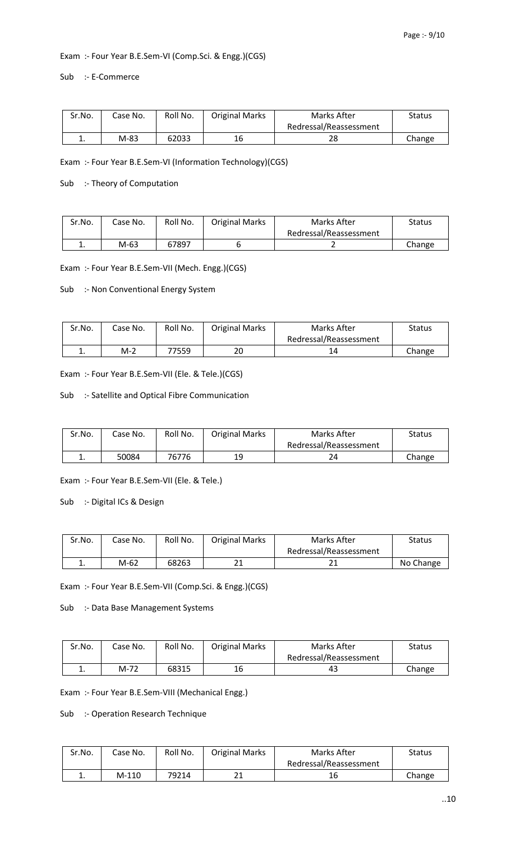#### Exam :- Four Year B.E.Sem-VI (Comp.Sci. & Engg.)(CGS)

Sub :- E-Commerce

| Sr.No. | Case No. | Roll No. | <b>Original Marks</b> | Marks After            | Status |
|--------|----------|----------|-----------------------|------------------------|--------|
|        |          |          |                       | Redressal/Reassessment |        |
| ∸.     | M-83     | 62033    | 16                    | 28                     | Change |

Exam :- Four Year B.E.Sem-VI (Information Technology)(CGS)

Sub :- Theory of Computation

| Sr.No. | Case No. | Roll No. | <b>Original Marks</b> | Marks After            | <b>Status</b> |
|--------|----------|----------|-----------------------|------------------------|---------------|
|        |          |          |                       | Redressal/Reassessment |               |
|        | M-63     | 67897    |                       |                        | Change        |

Exam :- Four Year B.E.Sem-VII (Mech. Engg.)(CGS)

Sub :- Non Conventional Energy System

| Sr.No. | Case No. | Roll No. | <b>Original Marks</b> | Marks After            | Status |
|--------|----------|----------|-----------------------|------------------------|--------|
|        |          |          |                       | Redressal/Reassessment |        |
| . .    | $M-2$    | 77559    | 20                    |                        | Change |

Exam :- Four Year B.E.Sem-VII (Ele. & Tele.)(CGS)

Sub :- Satellite and Optical Fibre Communication

| Sr.No. | Case No. | Roll No. | <b>Original Marks</b> | Marks After            | <b>Status</b> |
|--------|----------|----------|-----------------------|------------------------|---------------|
|        |          |          |                       | Redressal/Reassessment |               |
| ∸.     | 50084    | 76776    | 19                    |                        | Change        |

Exam :- Four Year B.E.Sem-VII (Ele. & Tele.)

Sub :- Digital ICs & Design

| Sr.No. | Case No. | Roll No. | <b>Original Marks</b> | Marks After            | <b>Status</b> |
|--------|----------|----------|-----------------------|------------------------|---------------|
|        |          |          |                       | Redressal/Reassessment |               |
| ᆠ.     | M-62     | 68263    | ᅀᅩ                    | ᅀᅩ                     | No Change     |

Exam :- Four Year B.E.Sem-VII (Comp.Sci. & Engg.)(CGS)

Sub :- Data Base Management Systems

| Sr.No. | Case No. | Roll No. | <b>Original Marks</b> | Marks After            | Status |
|--------|----------|----------|-----------------------|------------------------|--------|
|        |          |          |                       | Redressal/Reassessment |        |
| . .    | M-72     | 68315    | 16                    | 45                     | Change |

Exam :- Four Year B.E.Sem-VIII (Mechanical Engg.)

Sub :- Operation Research Technique

| Sr.No. | Case No. | Roll No. | <b>Original Marks</b> | Marks After            | <b>Status</b> |
|--------|----------|----------|-----------------------|------------------------|---------------|
|        |          |          |                       | Redressal/Reassessment |               |
| ٠.     | $M-110$  | 79214    | ᅀᅩ                    | 16                     | Change        |